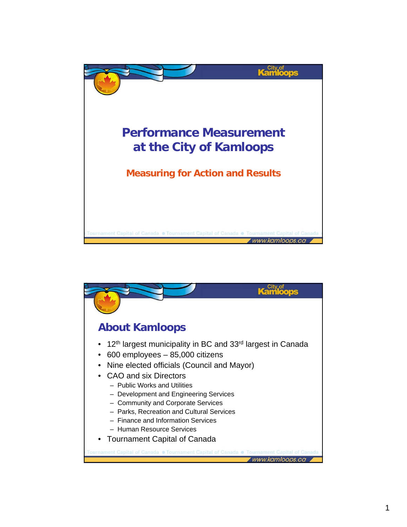

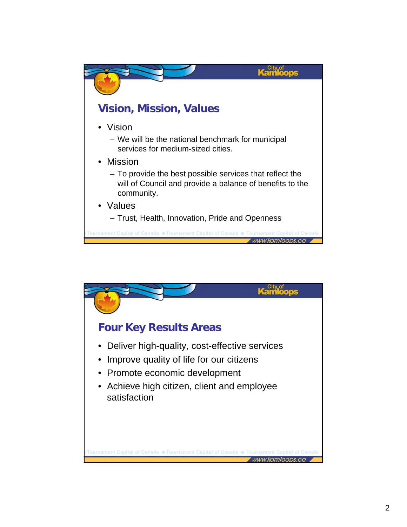

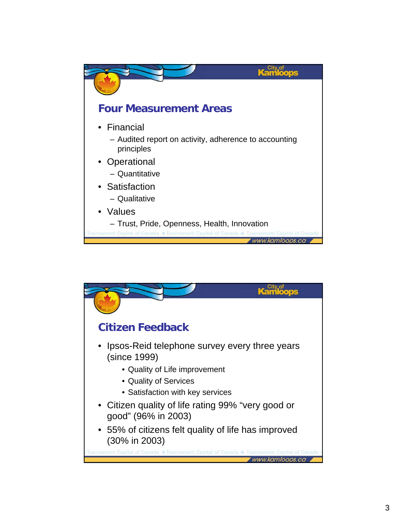

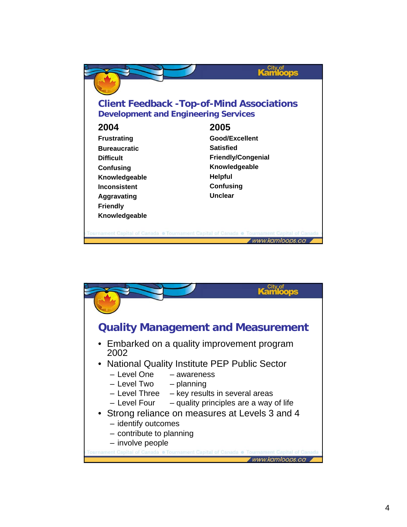

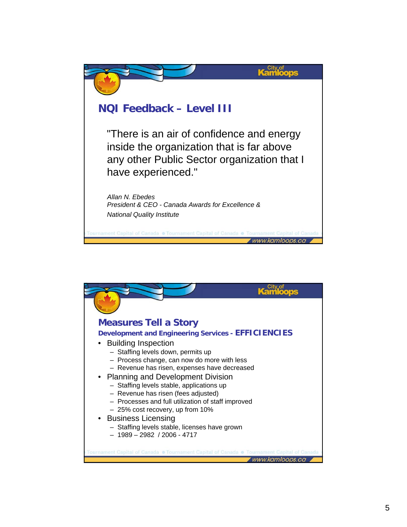

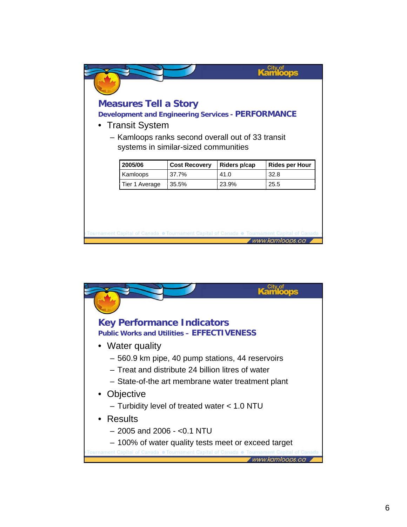| <b>Measures Tell a Story</b><br><b>Development and Engineering Services - PERFORMANCE</b><br>• Transit System | - Kamloops ranks second overall out of 33 transit |              |                       |
|---------------------------------------------------------------------------------------------------------------|---------------------------------------------------|--------------|-----------------------|
|                                                                                                               | systems in similar-sized communities              |              |                       |
| 2005/06                                                                                                       | <b>Cost Recovery</b>                              | Riders p/cap | <b>Rides per Hour</b> |
| Kamloops                                                                                                      | 37.7%                                             | 41.0         | 32.8                  |
| Tier 1 Average                                                                                                | 35.5%                                             | 23.9%        | 25.5                  |

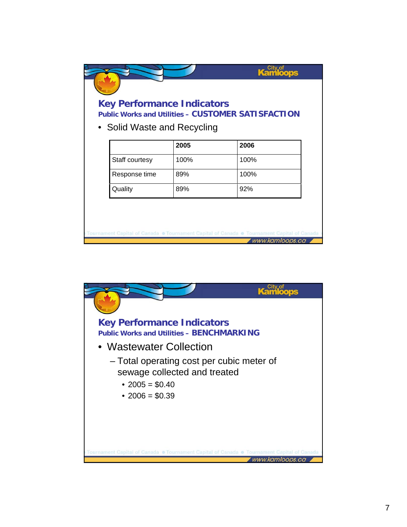## **Key Performance Indicators Public Works and Utilities – CUSTOMER SATISFACTION** • Solid Waste and Recycling **2005 2006** Staff courtesy | 100% | 100% Response time 89% and 100% Quality 89% 92% Tournament Capital of Canada . Tournament Capital of Canada . Tournament Capital of Canada Www.kamloops.ca

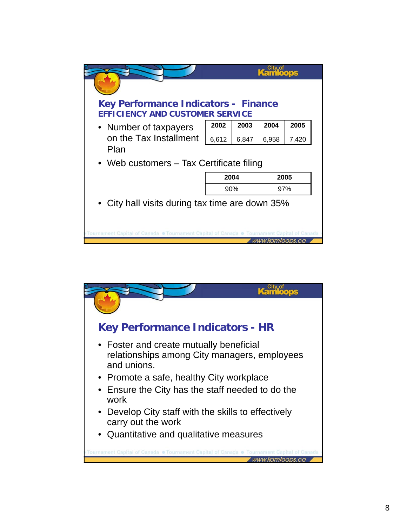

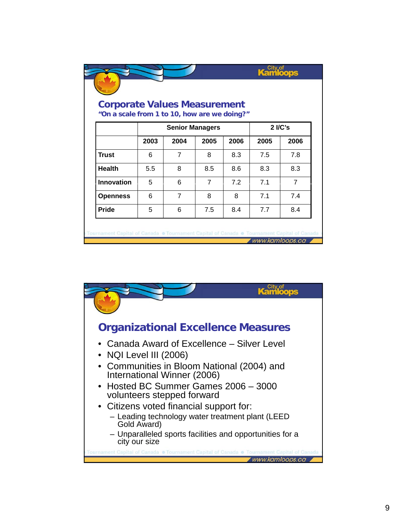| "On a scale from 1 to 10, how are we doing?" |                        |      |      |      |         |                |  |  |
|----------------------------------------------|------------------------|------|------|------|---------|----------------|--|--|
|                                              | <b>Senior Managers</b> |      |      |      | 2 I/C's |                |  |  |
|                                              | 2003                   | 2004 | 2005 | 2006 | 2005    | 2006           |  |  |
| <b>Trust</b>                                 | 6                      | 7    | 8    | 8.3  | 7.5     | 7.8            |  |  |
| <b>Health</b>                                | 5.5                    | 8    | 8.5  | 8.6  | 8.3     | 8.3            |  |  |
| Innovation                                   | 5                      | 6    | 7    | 7.2  | 7.1     | $\overline{7}$ |  |  |
| <b>Openness</b>                              | 6                      | 7    | 8    | 8    | 71      | 7.4            |  |  |
| <b>Pride</b>                                 | 5                      | 6    | 7.5  | 8.4  | 7.7     | 8.4            |  |  |

Tournament Capital of Canada · Tournament Capital of Canada · Tournament Capital of Canada www.kamloops.ca